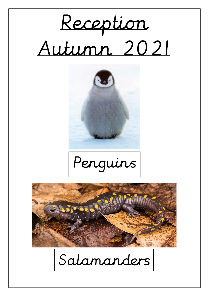







Salamanders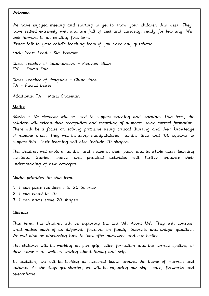#### Welcome

We have enjoyed meeting and starting to get to know your children this week. They have settled extremely well and are full of zest and curiosity, ready for learning. We look forward to an exciting first term.

Please talk to your child's teaching team if you have any questions.

Early Years Lead - Kim Peterson

Class Teacher of Salamanders - Peaches Silkin  $EYP$  - Emma Fair

Class Teacher of Penguins - Chloe Price TA - Rachel Lewis

Additional TA - Marie Chapman

#### Maths

Maths - No Problem! will be used to support teaching and learning. This term, the children will extend their recognition and recording of numbers using correct formation. There will be a focus on solving problems using critical thinking and their knowledge of number order. They will be using manipulatives, number lines and 100 squares to support this. Their learning will also include 2D shapes.

The children will explore number and shape in their play, and in whole class learning Stories. games and practical activities will further enhance their sessions. understanding of new concepts.

Maths priorities for this term:

- 1. I can place numbers 1 to 20 in order
- 2. I can count to 20
- 3. I can name some 2D shapes

#### Literacy

This term, the children will be exploring the text 'All About Me'. They will consider what makes each of us different, focusing on family, interests and unique qualities. We will also be discussing how to look after ourselves and our bodies.

The children will be working on pen grip, letter formation and the correct spelling of their name - as well as writing about family and self.

In addition, we will be looking at seasonal books around the theme of Harvest and autumn. As the days get shorter, we will be exploring our sky, space, fireworks and celebrations.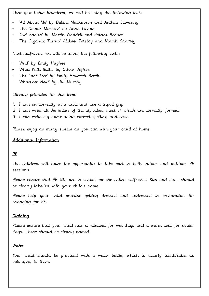Throughout this half-term, we will be using the following texts:

- 'All About Me' by Debbie Mackinnon and Anthea Sieveking
- 'The Colour Monster' by Anna Llenas
- 'Owl Babies' by Martin Waddell and Patrick Benson
- 'The Gigantic Turnip' Aleksei Tolstoy and Niamh Sharkey

Next half-term, we will be using the following texts:

- 'Wild' by Emily Hughes
- 'What We'll Build' by Oliver Jeffers
- 'The Last Tree' by Emily Haworth Booth
- 'Whatever Next' by Jill Murphy

Literacy priorities for this term:

- I. I can sit correctly at a table and use a tripod grip.
- 2. I can write all the letters of the alphabet, most of which are correctly formed.
- 3. I can write my name using correct spelling and case.

Please enjoy as many stories as you can with your child at home.

### Additional Information

# PE

The children will have the opportunity to take part in both indoor and outdoor PE sessions.

Please ensure that PE kits are in school for the entire half-term. Kits and bags should be clearly labelled with your child's name.

Please help your child practise getting dressed and undressed in preparation for changing for PE.

# Clothing

Please ensure that your child has a raincoat for wet days and a warm coat for colder days. These should be clearly named.

### Water

Your child should be provided with a water bottle, which is clearly identifiable as belonging to them.